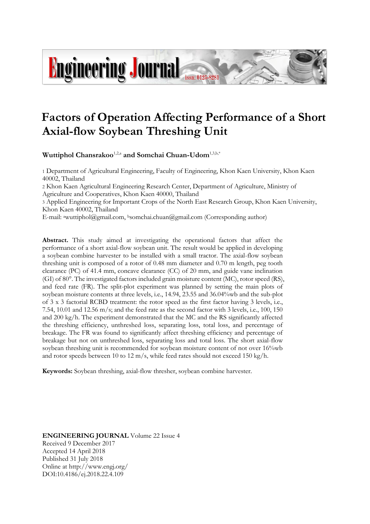# **Factors of Operation Affecting Performance of a Short Axial-flow Soybean Threshing Unit**

**Wuttiphol Chansrakoo**1,2,a **and Somchai Chuan-Udom**1,3,b,\*

**Ingineering Journal Fissi: 0125-8281** 

1 Department of Agricultural Engineering, Faculty of Engineering, Khon Kaen University, Khon Kaen 40002, Thailand

2 Khon Kaen Agricultural Engineering Research Center, Department of Agriculture, Ministry of Agriculture and Cooperatives, Khon Kaen 40000, Thailand

3 Applied Engineering for Important Crops of the North East Research Group, Khon Kaen University, Khon Kaen 40002, Thailand

E-mail: <sup>a</sup>[wuttiphol@gmail.com,](mailto:wuttiphol@gmail.com) <sup>b</sup>somchai.chuan@gmail.com (Corresponding author)

**Abstract.** This study aimed at investigating the operational factors that affect the performance of a short axial-flow soybean unit. The result would be applied in developing a soybean combine harvester to be installed with a small tractor. The axial-flow soybean threshing unit is composed of a rotor of 0.48 mm diameter and 0.70 m length, peg tooth clearance (PC) of 41.4 mm, concave clearance (CC) of 20 mm, and guide vane inclination (GI) of 80°. The investigated factors included grain moisture content (MC), rotor speed (RS), and feed rate (FR). The split-plot experiment was planned by setting the main plots of soybean moisture contents at three levels, i.e., 14.94, 23.55 and 36.04%wb and the sub-plot of 3 x 3 factorial RCBD treatment: the rotor speed as the first factor having 3 levels, i.e., 7.54, 10.01 and 12.56 m/s; and the feed rate as the second factor with 3 levels, i.e., 100, 150 and 200 kg/h. The experiment demonstrated that the MC and the RS significantly affected the threshing efficiency, unthreshed loss, separating loss, total loss, and percentage of breakage. The FR was found to significantly affect threshing efficiency and percentage of breakage but not on unthreshed loss, separating loss and total loss. The short axial-flow soybean threshing unit is recommended for soybean moisture content of not over 16%wb and rotor speeds between 10 to 12 m/s, while feed rates should not exceed 150 kg/h.

**Keywords:** Soybean threshing, axial-flow thresher, soybean combine harvester.

**ENGINEERING JOURNAL** Volume 22 Issue 4 Received 9 December 2017 Accepted 14 April 2018 Published 31 July 2018 Online at http://www.engj.org/ DOI:10.4186/ej.2018.22.4.109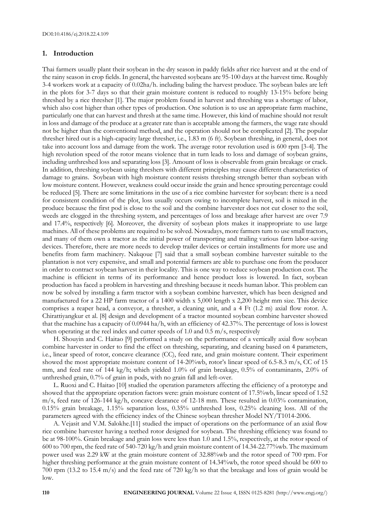# **1. Introduction**

Thai farmers usually plant their soybean in the dry season in paddy fields after rice harvest and at the end of the rainy season in crop fields. In general, the harvested soybeans are 95-100 days at the harvest time. Roughly 3-4 workers work at a capacity of 0.02ha/h. including baling the harvest produce. The soybean bales are left in the plots for 3-7 days so that their grain moisture content is reduced to roughly 13-15% before being threshed by a rice thresher [1]. The major problem found in harvest and threshing was a shortage of labor, which also cost higher than other types of production. One solution is to use an appropriate farm machine, particularly one that can harvest and thresh at the same time. However, this kind of machine should not result in loss and damage of the produce at a greater rate than is acceptable among the farmers, the wage rate should not be higher than the conventional method, and the operation should not be complicated [2]. The popular thresher hired out is a high-capacity large thresher, i.e., 1.83 m (6 ft). Soybean threshing, in general, does not take into account loss and damage from the work. The average rotor revolution used is 600 rpm [3-4]. The high revolution speed of the rotor means violence that in turn leads to loss and damage of soybean grains, including unthreshed loss and separating loss [3]. Amount of loss is observable from grain breakage or crack. In addition, threshing soybean using threshers with different principles may cause different characteristics of damage to grains. Soybean with high moisture content resists threshing strength better than soybean with low moisture content. However, weakness could occur inside the grain and hence sprouting percentage could be reduced [5]. There are some limitations in the use of a rice combine harvester for soybean: there is a need for consistent condition of the plot, loss usually occurs owing to incomplete harvest, soil is mixed in the produce because the first pod is close to the soil and the combine harvester does not cut closer to the soil, weeds are clogged in the threshing system, and percentages of loss and breakage after harvest are over 7.9 and 17.4%, respectively [6]. Moreover, the diversity of soybean plots makes it inappropriate to use large machines. All of these problems are required to be solved. Nowadays, more farmers turn to use small tractors, and many of them own a tractor as the initial power of transporting and trailing various farm labor-saving devices. Therefore, there are more needs to develop trailer devices or certain installments for more use and benefits from farm machinery. Nakqoue [7] said that a small soybean combine harvester suitable to the plantation is not very expensive, and small and potential farmers are able to purchase one from the producer in order to contract soybean harvest in their locality. This is one way to reduce soybean production cost. The machine is efficient in terms of its performance and hence product loss is lowered. In fact, soybean production has faced a problem in harvesting and threshing because it needs human labor. This problem can now be solved by installing a farm tractor with a soybean combine harvester, which has been designed and manufactured for a 22 HP farm tractor of a 1400 width x 5,000 length x 2,200 height mm size. This device comprises a reaper head, a conveyor, a thresher, a cleaning unit, and a 4 Ft (1.2 m) axial flow rotor. A. Chirattiyangkur et al. [8] design and development of a tractor mounted soybean combine harvester showed that the machine has a capacity of 0.0944 ha/h, with an efficiency of 42.37%. The percentage of loss is lowest when operating at the reel index and cutter speeds of 1.0 and 0.5 m/s, respectively

H. Shouyin and C. Haitao [9] performed a study on the performance of a vertically axial flow soybean combine harvester in order to find the effect on threshing, separating, and cleaning based on 4 parameters, i.e., linear speed of rotor, concave clearance (CC), feed rate, and grain moisture content. Their experiment showed the most appropriate moisture content of 14-20%wb, rotor's linear speed of 6.5-8.3 m/s, CC of 15 mm, and feed rate of 144 kg/h; which yielded 1.0% of grain breakage, 0.5% of contaminants, 2.0% of unthreshed grain, 0.7% of grain in pods, with no grain fall and left-over.

L. Ruoxi and C. Haitao [10] studied the operation parameters affecting the efficiency of a prototype and showed that the appropriate operation factors were: grain moisture content of 17.5%wb, linear speed of 1.52 m/s, feed rate of 126-144 kg/h, concave clearance of 12-18 mm. These resulted in 0.03% contamination, 0.15% grain breakage, 1.15% separation loss, 0.35% unthreshed loss, 0.25% cleaning loss. All of the parameters agreed with the efficiency index of the Chinese soybean thresher Model NY/T1014-2006.

A. Vejasit and V.M. Salokhe.[11] studied the impact of operations on the performance of an axial flow rice combine harvester having a teethed rotor designed for soybean. The threshing efficiency was found to be at 98-100%. Grain breakage and grain loss were less than 1.0 and 1.5%, respectively, at the rotor speed of 600 to 700 rpm, the feed rate of 540-720 kg/h and grain moisture content of 14.34-22.77%wb. The maximum power used was 2.29 kW at the grain moisture content of 32.88%wb and the rotor speed of 700 rpm. For higher threshing performance at the grain moisture content of 14.34%wb, the rotor speed should be 600 to 700 rpm (13.2 to 15.4 m/s) and the feed rate of 720 kg/h so that the breakage and loss of grain would be low.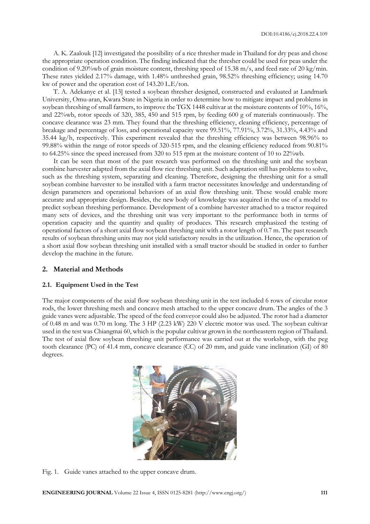A. K. Zaalouk [12] investigated the possibility of a rice thresher made in Thailand for dry peas and chose the appropriate operation condition. The finding indicated that the thresher could be used for peas under the condition of 9.20%wb of grain moisture content, threshing speed of 15.38 m/s, and feed rate of 20 kg/min. These rates yielded 2.17% damage, with 1.48% unthreshed grain, 98.52% threshing efficiency; using 14.70 kw of power and the operation cost of 143.20 L.E/ton.

T. A. Adekanye et al. [13] tested a soybean thresher designed, constructed and evaluated at Landmark University, Omu-aran, Kwara State in Nigeria in order to determine how to mitigate impact and problems in soybean threshing of small farmers, to improve the TGX 1448 cultivar at the moisture contents of 10%, 16%, and 22%wb, rotor speeds of 320, 385, 450 and 515 rpm, by feeding 600 g of materials continuously. The concave clearance was 23 mm. They found that the threshing efficiency, cleaning efficiency, percentage of breakage and percentage of loss, and operational capacity were 99.51%, 77.91%, 3.72%, 31.33%, 4.43% and 35.44 kg/h, respectively. This experiment revealed that the threshing efficiency was between 98.96% to 99.88% within the range of rotor speeds of 320-515 rpm, and the cleaning efficiency reduced from 90.81% to 64.25% since the speed increased from 320 to 515 rpm at the moisture content of 10 to 22%wb.

It can be seen that most of the past research was performed on the threshing unit and the soybean combine harvester adapted from the axial flow rice threshing unit. Such adaptation still has problems to solve, such as the threshing system, separating and cleaning. Therefore, designing the threshing unit for a small soybean combine harvester to be installed with a farm tractor necessitates knowledge and understanding of design parameters and operational behaviors of an axial flow threshing unit. These would enable more accurate and appropriate design. Besides, the new body of knowledge was acquired in the use of a model to predict soybean threshing performance. Development of a combine harvester attached to a tractor required many sets of devices, and the threshing unit was very important to the performance both in terms of operation capacity and the quantity and quality of produces. This research emphasized the testing of operational factors of a short axial flow soybean threshing unit with a rotor length of 0.7 m. The past research results of soybean threshing units may not yield satisfactory results in the utilization. Hence, the operation of a short axial flow soybean threshing unit installed with a small tractor should be studied in order to further develop the machine in the future.

# **2. Material and Methods**

# **2.1. Equipment Used in the Test**

The major components of the axial flow soybean threshing unit in the test included 6 rows of circular rotor rods, the lower threshing mesh and concave mesh attached to the upper concave drum. The angles of the 3 guide vanes were adjustable. The speed of the feed conveyor could also be adjusted. The rotor had a diameter of 0.48 m and was 0.70 m long. The 3 HP (2.23 kW) 220 V electric motor was used. The soybean cultivar used in the test was Chiangmai 60, which is the popular cultivar grown in the northeastern region of Thailand. The test of axial flow soybean threshing unit performance was carried out at the workshop, with the peg tooth clearance (PC) of 41.4 mm, concave clearance (CC) of 20 mm, and guide vane inclination (GI) of 80 degrees.



Fig. 1. Guide vanes attached to the upper concave drum.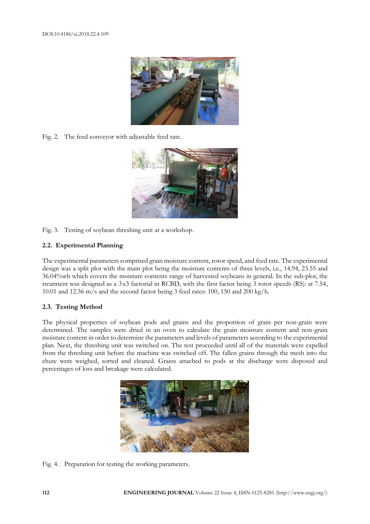

Fig. 2. The feed conveyor with adjustable feed rate.



Fig. 3. Testing of soybean threshing unit at a workshop.

# **2.2. Experimental Planning**

The experimental parameters comprised grain moisture content, rotor speed, and feed rate. The experimental design was a split plot with the main plot being the moisture contents of three levels, i.e., 14.94, 23.55 and 36.04%wb which covers the moisture contents range of harvested soybeans in general. In the sub-plot, the treatment was designed as a 3 x3 factorial in RCBD, with the first factor being 3 rotor speeds (RS): at 7.54, 10.01 and 12.56 m/s and the second factor being 3 feed rates: 100, 150 and 200 kg/h.

# **2.3. Testing Method**

The physical properties of soybean pods and grains and the proportion of grain per non-grain were determined. The samples were dried in an oven to calculate the grain moisture content and non-grain moisture content in order to determine the parameters and levels of parameters according to the experimental plan. Next, the threshing unit was switched on. The test proceeded until all of the materials were expelled from the threshing unit before the machine was switched off. The fallen grains through the mesh into the chute were weighed, sorted and cleaned. Grains attached to pods at the discharge were disposed and percentages of loss and breakage were calculated.



Fig. 4. Preparation for testing the working parameters.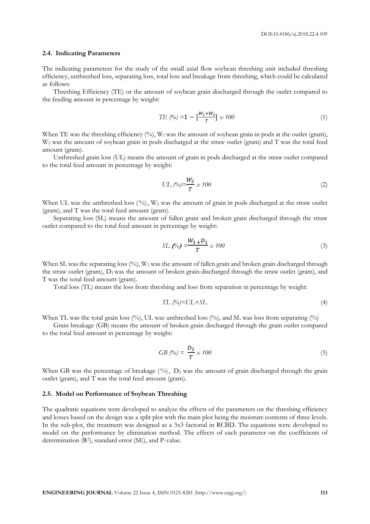#### **2.4. Indicating Parameters**

The indicating parameters for the study of the small axial flow soybean threshing unit included threshing efficiency, unthreshed loss, separating loss, total loss and breakage from threshing, which could be calculated as follows:

Threshing Efficiency (TE) or the amount of soybean grain discharged through the outlet compared to the feeding amount in percentage by weight:

$$
TE (\%) = 1 - \left[\frac{W_1 + W_2}{T}\right] \times 100 \tag{1}
$$

When TE was the threshing efficiency (%),  $W_1$  was the amount of soybean grain in pods at the outlet (gram), W<sub>2</sub> was the amount of soybean grain in pods discharged at the straw outlet (gram) and T was the total feed amount (gram).

Unthreshed grain loss (UL) means the amount of grain in pods discharged at the straw outlet compared to the total feed amount in percentage by weight:

UL 
$$
(\frac{\%}{T}) = \frac{W_2}{T} \times 100
$$
 (2)

When UL was the unthreshed loss  $(\%)$ , W<sub>2</sub> was the amount of grain in pods discharged at the straw outlet (gram), and T was the total feed amount (gram).

Separating loss (SL) means the amount of fallen grain and broken grain discharged through the straw outlet compared to the total feed amount in percentage by weight:

$$
SL(\%) = \frac{W_3 + D_1}{T} \times 100
$$
 (3)

When SL was the separating loss (%), W<sub>3</sub> was the amount of fallen grain and broken grain discharged through the straw outlet (gram),  $D_1$  was the amount of broken grain discharged through the straw outlet (gram), and T was the total feed amount (gram).

Total loss (TL) means the loss from threshing and loss from separation in percentage by weight:

$$
TL\ (\%)=UL+SL\tag{4}
$$

When TL was the total grain loss  $(\%)$ . UL was unthreshed loss  $(\%)$ , and SL was loss from separating  $(\%)$ 

Grain breakage (GB) means the amount of broken grain discharged through the grain outlet compared to the total feed amount in percentage by weight:

$$
GB\left(\% \right) = \frac{D_2}{T} \times 100\tag{5}
$$

When GB was the percentage of breakage  $(\%)$ ,  $D_2$  was the amount of grain discharged through the grain outlet (gram), and  $\tilde{T}$  was the total feed amount (gram).

#### **2.5. Model on Performance of Soybean Threshing**

The quadratic equations were developed to analyze the effects of the parameters on the threshing efficiency and losses based on the design was a split plot with the main plot being the moisture contents of three levels. In the sub-plot, the treatment was designed as a 3x3 factorial in RCBD. The equations were developed to model on the performance by elimination method. The effects of each parameter on the coefficients of determination (R<sup>2</sup> ), standard error (SE), and P-value.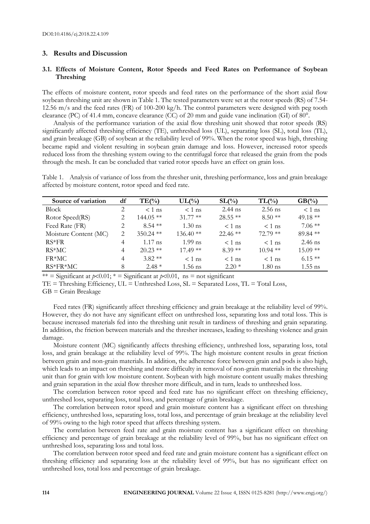# **3. Results and Discussion**

# **3.1. Effects of Moisture Content, Rotor Speeds and Feed Rates on Performance of Soybean Threshing**

The effects of moisture content, rotor speeds and feed rates on the performance of the short axial flow soybean threshing unit are shown in Table 1. The tested parameters were set at the rotor speeds (RS) of 7.54- 12.56 m/s and the feed rates (FR) of 100-200 kg/h. The control parameters were designed with peg tooth clearance (PC) of 41.4 mm, concave clearance (CC) of 20 mm and guide vane inclination (GI) of 80°.

Analysis of the performance variation of the axial flow threshing unit showed that rotor speeds (RS) significantly affected threshing efficiency (TE), unthreshed loss (UL), separating loss (SL), total loss (TL), and grain breakage (GB) of soybean at the reliability level of 99%. When the rotor speed was high, threshing became rapid and violent resulting in soybean grain damage and loss. However, increased rotor speeds reduced loss from the threshing system owing to the centrifugal force that released the grain from the pods through the mesh. It can be concluded that varied rotor speeds have an effect on grain loss.

Table 1. Analysis of variance of loss from the thresher unit, threshing performance, loss and grain breakage affected by moisture content, rotor speed and feed rate.

| Source of variation   | df | $TE(\%)$    | $UL(\%)$   | $SL(\%)$   | $TL(\%)$          | $GB(\%)$   |
|-----------------------|----|-------------|------------|------------|-------------------|------------|
| <b>Block</b>          | 2  | $< 1$ ns    | $< 1$ ns   | $2.44$ ns  | $2.56$ ns         | $< 1$ ns   |
| Rotor Speed(RS)       |    | $144.05**$  | $31.77$ ** | $28.55$ ** | $8.50**$          | 49.18 $**$ |
| Feed Rate (FR)        | 2  | $8.54$ **   | $1.30$ ns  | $<$ 1 ns   | $< 1$ ns          | $7.06$ **  |
| Moisture Content (MC) | 2  | $350.24$ ** | $136.40**$ | $22.46$ ** | $72.79$ **        | 89.84 **   |
| $RS*FR$               | 4  | $1.17$ ns   | $1.99$ ns  | $<$ 1 ns   | $<$ 1 ns          | $2.46$ ns  |
| RS*MC                 | 4  | $20.23$ **  | $17.49**$  | $8.39**$   | $10.94$ **        | $15.09**$  |
| FR*MC.                | 4  | $3.82**$    | $< 1$ ns   | $<$ 1 ns   | $< 1$ ns          | $6.15**$   |
| $RS*FR*MC$            | 8  | $2.48*$     | $1.56$ ns  | $2.20*$    | $1.80 \text{ ns}$ | $1.55$ ns  |

\*\* = Significant at  $p<0.01$ ; \* = Significant at  $p<0.01$ , ns = not significant

 $TE =$  Threshing Efficiency,  $UL =$  Unthreshed Loss,  $SL =$  Separated Loss,  $TL =$  Total Loss,

 $GB =$  Grain Breakage

Feed rates (FR) significantly affect threshing efficiency and grain breakage at the reliability level of 99%. However, they do not have any significant effect on unthreshed loss, separating loss and total loss. This is because increased materials fed into the threshing unit result in tardiness of threshing and grain separating. In addition, the friction between materials and the thresher increases, leading to threshing violence and grain damage.

Moisture content (MC) significantly affects threshing efficiency, unthreshed loss, separating loss, total loss, and grain breakage at the reliability level of 99%. The high moisture content results in great friction between grain and non-grain materials. In addition, the adherence force between grain and pods is also high, which leads to an impact on threshing and more difficulty in removal of non-grain materials in the threshing unit than for grain with low moisture content. Soybean with high moisture content usually makes threshing and grain separation in the axial flow thresher more difficult, and in turn, leads to unthreshed loss.

The correlation between rotor speed and feed rate has no significant effect on threshing efficiency, unthreshed loss, separating loss, total loss, and percentage of grain breakage.

The correlation between rotor speed and grain moisture content has a significant effect on threshing efficiency, unthreshed loss, separating loss, total loss, and percentage of grain breakage at the reliability level of 99% owing to the high rotor speed that affects threshing system.

The correlation between feed rate and grain moisture content has a significant effect on threshing efficiency and percentage of grain breakage at the reliability level of 99%, but has no significant effect on unthreshed loss, separating loss and total loss.

The correlation between rotor speed and feed rate and grain moisture content has a significant effect on threshing efficiency and separating loss at the reliability level of 99%, but has no significant effect on unthreshed loss, total loss and percentage of grain breakage.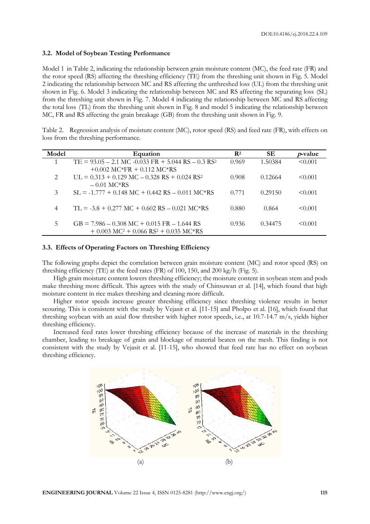#### **3.2. Model of Soybean Testing Performance**

Model 1 in Table 2, indicating the relationship between grain moisture content (MC), the feed rate (FR) and the rotor speed (RS) affecting the threshing efficiency (TE) from the threshing unit shown in Fig. 5. Model 2 indicating the relationship between MC and RS affecting the unthreshed loss (UL) from the threshing unit shown in Fig. 6. Model 3 indicating the relationship between MC and RS affecting the separating loss (SL) from the threshing unit shown in Fig. 7. Model 4 indicating the relationship between MC and RS affecting the total loss (TL) from the threshing unit shown in Fig. 8 and model 5 indicating the relationship between MC, FR and RS affecting the grain breakage (GB) from the threshing unit shown in Fig. 9.

| Table 2. Regression analysis of moisture content (MC), rotor speed (RS) and feed rate (FR), with effects on |
|-------------------------------------------------------------------------------------------------------------|
| loss from the threshing performance.                                                                        |

| Model                       | Equation                                                               | $\mathbf{R}^2$ | SЕ      | <i>p</i> -value |
|-----------------------------|------------------------------------------------------------------------|----------------|---------|-----------------|
|                             | $TE = 93.05 - 2.1$ MC $-0.033$ FR $+ 5.044$ RS $- 0.3$ RS <sup>2</sup> | 0.969          | 1.50384 | < 0.001         |
|                             | $+0.002$ MC*FR $+ 0.112$ MC*RS                                         |                |         |                 |
| $\mathcal{D}_{\mathcal{L}}$ | UL = $0.313 + 0.129$ MC = $0.328$ RS + $0.024$ RS <sup>2</sup>         | 0.908          | 0.12664 | $\leq 0.001$    |
|                             | $-0.01$ MC*RS                                                          |                |         |                 |
| 3                           | $SL = -1.777 + 0.148$ MC + 0.442 RS - 0.011 MC*RS                      | 0.771          | 0.29150 | $\leq 0.001$    |
|                             |                                                                        |                |         |                 |
| 4                           | $TL = -3.8 + 0.277$ MC + 0.602 RS - 0.021 MC*RS                        | 0.880          | 0.864   | $\leq 0.001$    |
|                             |                                                                        |                |         |                 |
| 5                           | $GB = 7.986 - 0.308 \text{ MC} + 0.015 \text{ FR} - 1.644 \text{ RS}$  | 0.936          | 0.34475 | $\leq 0.001$    |
|                             | $+0.003$ MC <sup>2</sup> + 0.066 RS <sup>2</sup> + 0.035 MC*RS         |                |         |                 |

## **3.3. Effects of Operating Factors on Threshing Efficiency**

The following graphs depict the correlation between grain moisture content (MC) and rotor speed (RS) on threshing efficiency (TE) at the feed rates (FR) of 100, 150, and 200 kg/h (Fig. 5).

High grain moisture content lowers threshing efficiency; the moisture content in soybean stem and pods make threshing more difficult. This agrees with the study of Chinsuwan et al. [14], which found that high moisture content in rice makes threshing and cleaning more difficult.

Higher rotor speeds increase greater threshing efficiency since threshing violence results in better scouring. This is consistent with the study by Vejasit et al. [11-15] and Pholpo et al. [16], which found that threshing soybean with an axial flow thresher with higher rotor speeds, i.e., at 10.7-14.7 m/s, yields higher threshing efficiency.

Increased feed rates lower threshing efficiency because of the increase of materials in the threshing chamber, leading to breakage of grain and blockage of material beaten on the mesh. This finding is not consistent with the study by Vejasit et al. [11-15], who showed that feed rate has no effect on soybean threshing efficiency.

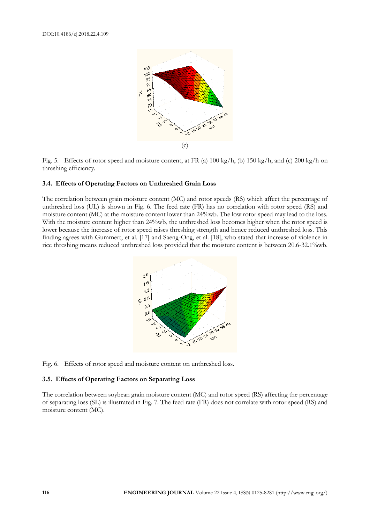

Fig. 5. Effects of rotor speed and moisture content, at FR (a)  $100 \text{ kg/h}$ , (b)  $150 \text{ kg/h}$ , and (c)  $200 \text{ kg/h}$  on threshing efficiency.

## **3.4. Effects of Operating Factors on Unthreshed Grain Loss**

The correlation between grain moisture content (MC) and rotor speeds (RS) which affect the percentage of unthreshed loss (UL) is shown in Fig. 6. The feed rate (FR) has no correlation with rotor speed (RS) and moisture content (MC) at the moisture content lower than 24%wb. The low rotor speed may lead to the loss. With the moisture content higher than 24%wb, the unthreshed loss becomes higher when the rotor speed is lower because the increase of rotor speed raises threshing strength and hence reduced unthreshed loss. This finding agrees with Gummert, et al. [17] and Saeng-Ong, et al. [18], who stated that increase of violence in rice threshing means reduced unthreshed loss provided that the moisture content is between 20.6-32.1%wb.



Fig. 6. Effects of rotor speed and moisture content on unthreshed loss.

## **3.5. Effects of Operating Factors on Separating Loss**

The correlation between soybean grain moisture content (MC) and rotor speed (RS) affecting the percentage of separating loss (SL) is illustrated in Fig. 7. The feed rate (FR) does not correlate with rotor speed (RS) and moisture content (MC).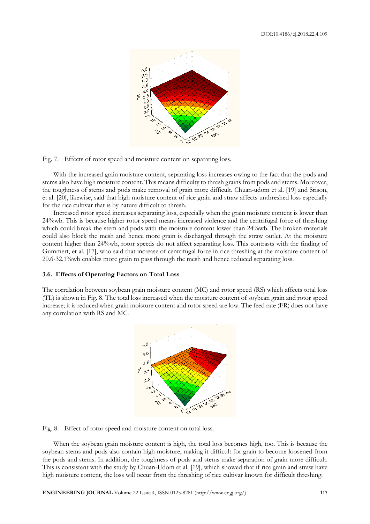

Fig. 7. Effects of rotor speed and moisture content on separating loss.

With the increased grain moisture content, separating loss increases owing to the fact that the pods and stems also have high moisture content. This means difficulty to thresh grains from pods and stems. Moreover, the toughness of stems and pods make removal of grain more difficult. Chuan-udom et al. [19] and Srison, et al. [20], likewise, said that high moisture content of rice grain and straw affects unthreshed loss especially for the rice cultivar that is by nature difficult to thresh.

Increased rotor speed increases separating loss, especially when the grain moisture content is lower than 24%wb. This is because higher rotor speed means increased violence and the centrifugal force of threshing which could break the stem and pods with the moisture content lower than 24%wb. The broken materials could also block the mesh and hence more grain is discharged through the straw outlet. At the moisture content higher than 24%wb, rotor speeds do not affect separating loss. This contrasts with the finding of Gummert, et al. [17], who said that increase of centrifugal force in rice threshing at the moisture content of 20.6-32.1%wb enables more grain to pass through the mesh and hence reduced separating loss.

#### **3.6. Effects of Operating Factors on Total Loss**

The correlation between soybean grain moisture content (MC) and rotor speed (RS) which affects total loss (TL) is shown in Fig. 8. The total loss increased when the moisture content of soybean grain and rotor speed increase; it is reduced when grain moisture content and rotor speed are low. The feed rate (FR) does not have any correlation with RS and MC.



Fig. 8. Effect of rotor speed and moisture content on total loss.

When the soybean grain moisture content is high, the total loss becomes high, too. This is because the soybean stems and pods also contain high moisture, making it difficult for grain to become loosened from the pods and stems. In addition, the toughness of pods and stems make separation of grain more difficult. This is consistent with the study by Chuan-Udom et al. [19], which showed that if rice grain and straw have high moisture content, the loss will occur from the threshing of rice cultivar known for difficult threshing.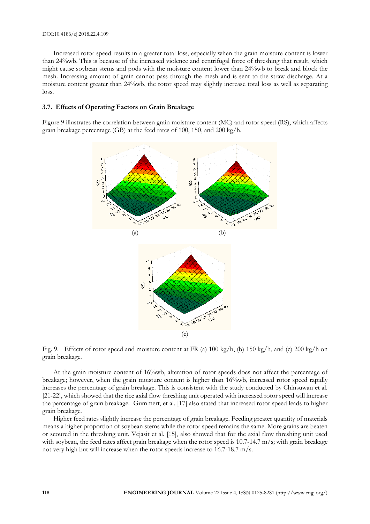#### DOI:10.4186/ej.2018.22.4.109

Increased rotor speed results in a greater total loss, especially when the grain moisture content is lower than 24%wb. This is because of the increased violence and centrifugal force of threshing that result, which might cause soybean stems and pods with the moisture content lower than 24%wb to break and block the mesh. Increasing amount of grain cannot pass through the mesh and is sent to the straw discharge. At a moisture content greater than 24%wb, the rotor speed may slightly increase total loss as well as separating loss.

## **3.7. Effects of Operating Factors on Grain Breakage**

Figure 9 illustrates the correlation between grain moisture content (MC) and rotor speed (RS), which affects grain breakage percentage (GB) at the feed rates of 100, 150, and 200 kg/h.



Fig. 9. Effects of rotor speed and moisture content at FR (a) 100 kg/h, (b) 150 kg/h, and (c) 200 kg/h on grain breakage.

At the grain moisture content of 16%wb, alteration of rotor speeds does not affect the percentage of breakage; however, when the grain moisture content is higher than 16%wb, increased rotor speed rapidly increases the percentage of grain breakage. This is consistent with the study conducted by Chinsuwan et al. [21-22], which showed that the rice axial flow threshing unit operated with increased rotor speed will increase the percentage of grain breakage. Gummert, et al. [17] also stated that increased rotor speed leads to higher grain breakage.

Higher feed rates slightly increase the percentage of grain breakage. Feeding greater quantity of materials means a higher proportion of soybean stems while the rotor speed remains the same. More grains are beaten or scoured in the threshing unit. Vejasit et al. [15], also showed that for the axial flow threshing unit used with soybean, the feed rates affect grain breakage when the rotor speed is 10.7-14.7 m/s; with grain breakage not very high but will increase when the rotor speeds increase to 16.7-18.7 m/s.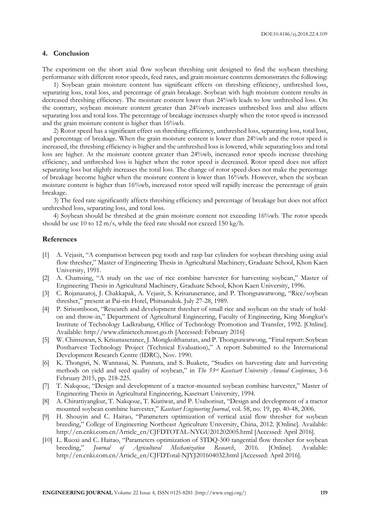# **4. Conclusion**

The experiment on the short axial flow soybean threshing unit designed to find the soybean threshing performance with different rotor speeds, feed rates, and grain moisture contents demonstrates the following:

1) Soybean grain moisture content has significant effects on threshing efficiency, unthreshed loss, separating loss, total loss, and percentage of grain breakage. Soybean with high moisture content results in decreased threshing efficiency. The moisture content lower than 24%wb leads to low unthreshed loss. On the contrary, soybean moisture content greater than 24%wb increases unthreshed loss and also affects separating loss and total loss. The percentage of breakage increases sharply when the rotor speed is increased and the grain moisture content is higher than 16%wb.

2) Rotor speed has a significant effect on threshing efficiency, unthreshed loss, separating loss, total loss, and percentage of breakage. When the grain moisture content is lower than 24%wb and the rotor speed is increased, the threshing efficiency is higher and the unthreshed loss is lowered, while separating loss and total loss are higher. At the moisture content greater than 24%wb, increased rotor speeds increase threshing efficiency, and unthreshed loss is higher when the rotor speed is decreased. Rotor speed does not affect separating loss but slightly increases the total loss. The change of rotor speed does not make the percentage of breakage become higher when the moisture content is lower than 16%wb. However, when the soybean moisture content is higher than 16%wb, increased rotor speed will rapidly increase the percentage of grain breakage.

3) The feed rate significantly affects threshing efficiency and percentage of breakage but does not affect unthreshed loss, separating loss, and total loss.

4) Soybean should be threshed at the grain moisture content not exceeding 16%wb. The rotor speeds should be use 10 to 12 m/s, while the feed rate should not exceed 150 kg/h.

#### **References**

- [1] A. Vejasit, "A comparison between peg tooth and rasp bar cylinders for soybean threshing using axial flow thresher," Master of Engineering Thesis in Agricultural Machinery, Graduate School, Khon Kaen University, 1991.
- [2] A. Chamsing, "A study on the use of rice combine harvester for harvesting soybean," Master of Engineering Thesis in Agricultural Machinery, Graduate School, Khon Kaen University, 1996.
- [3] C. Rojanasaroj, J. Chakkapak, A. Vejasit, S. Krisanaseranee, and P. Thongsawatwong, "Rice/soybean thresher," present at Pai-rin Hotel, Phitsanulok. July 27-28, 1989.
- [4] P. Sirisomboon, "Research and development thresher of small rice and soybean on the study of holdon and throw-in," Department of Agricultural Engineering, Faculty of Engineering, King Mongkut's Institute of Technology Ladkrabang, Office of Technology Promotion and Transfer, 1992. [Online]. Available: http://www.clinictech.most.go.th [Accessed: February 2016]
- [5] W. Chinsuwan, S. Krisanaseranee, J. Mongkolthanatas, and P. Thongsawatwong, "Final report: Soybean Postharvest Technology Project (Technical Evaluation)," A report Submitted to the International Development Research Centre (IDRC), Nov. 1990.
- [6] K. Thongsri, N. Wannasai, N. Punnara, and S. Buakete, "Studies on harvesting date and harvesting methods on yield and seed quality of soybean," in *The 53rd Kasetsart University Annual Conference*, 3-6 February 2015, pp. 218-225.
- [7] T. Nakqoue, "Design and development of a tractor-mounted soybean combine harvester," Master of Engineering Thesis in Agricultural Engineering, Kasetsart University, 1994.
- [8] A. Chirattiyangkur, T. Nakqoue, T. Kiatiwat, and P. Usaborisut, "Design and development of a tractor mounted soybean combine harvester," *Kasetsart Engineering Journal*, vol. 58, no. 19, pp. 40-48, 2006.
- [9] H. Shouyin and C. Haitao, "Parameters optimization of vertical axial flow thresher for soybean breeding," College of Engineering Northeast Agriculture University, China, 2012. [Online]. Available: http://en.cnki.com.cn/Article\_en/CJFDTOTAL-NYGU201202005.html [Accessed: April 2016].
- [10] L. Ruoxi and C. Haitao, "Parameters optimization of 5TDQ-300 tangential flow thresher for soybean breeding," *Journal of Agricultural Mechanization Research*, 2016. [Online]. Available: http://en.cnki.com.cn/Article\_en/CJFDTotal-NJYJ201604032.html [Accessed: April 2016].